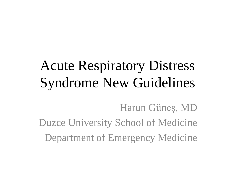# Acute Respiratory Distress Syndrome New Guidelines

Harun Güneş, MD Duzce University School of Medicine Department of Emergency Medicine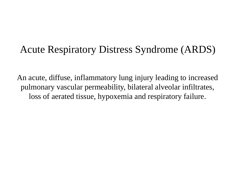### Acute Respiratory Distress Syndrome (ARDS)

An acute, diffuse, inflammatory lung injury leading to increased pulmonary vascular permeability, bilateral alveolar infiltrates, loss of aerated tissue, hypoxemia and respiratory failure.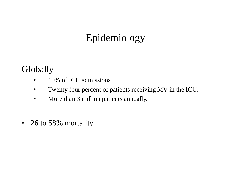# Epidemiology

#### Globally

- 10% of ICU admissions
- Twenty four percent of patients receiving MV in the ICU.
- More than 3 million patients annually.
- 26 to 58% mortality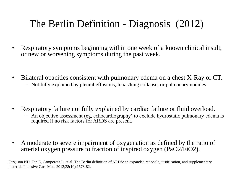# The Berlin Definition - Diagnosis (2012)

- Respiratory symptoms beginning within one week of a known clinical insult, or new or worsening symptoms during the past week.
- Bilateral opacities consistent with pulmonary edema on a chest X-Ray or CT.
	- Not fully explained by pleural effusions, lobar/lung collapse, or pulmonary nodules.
- Respiratory failure not fully explained by cardiac failure or fluid overload.
	- An objective assessment (eg, echocardiography) to exclude hydrostatic pulmonary edema is required if no risk factors for ARDS are present.
- A moderate to severe impairment of oxygenation as defined by the ratio of arterial oxygen pressure to fraction of inspired oxygen (PaO2/FiO2).

Ferguson ND, Fan E, Camporota L, et al. The Berlin definition of ARDS: an expanded rationale, justification, and supplementary material. Intensive Care Med. 2012;38(10):1573-82.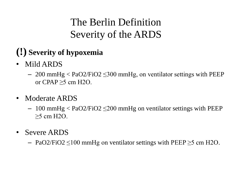# The Berlin Definition Severity of the ARDS

### **(!) Severity of hypoxemia**

- Mild ARDS
	- $-200$  mmHg  $\langle$  PaO2/FiO2  $\leq$ 300 mmHg, on ventilator settings with PEEP or CPAP  $>5$  cm H2O.
- Moderate ARDS
	- $-100$  mmHg  $\langle$  PaO2/FiO2  $\leq$ 200 mmHg on ventilator settings with PEEP ≥5 cm H2O.
- Severe ARDS
	- PaO2/FiO2 ≤100 mmHg on ventilator settings with PEEP ≥5 cm H2O.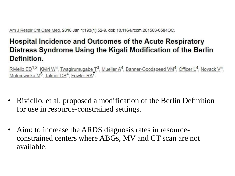Am J Respir Crit Care Med. 2016 Jan 1;193(1):52-9. doi: 10.1164/rccm.201503-0584OC.

#### **Hospital Incidence and Outcomes of the Acute Respiratory** Distress Syndrome Using the Kigali Modification of the Berlin **Definition.**

Riviello ED<sup>1,2</sup>, Kiviri W<sup>3</sup>, Twagirumugabe  $T^3$ , Mueller A<sup>4</sup>, Banner-Goodspeed VM<sup>4</sup>, Officer L<sup>4</sup>, Novack V<sup>5</sup>, Mutumwinka M<sup>6</sup>, Talmor DS<sup>4</sup>, Fowler RA<sup>7</sup>.

- Riviello, et al. proposed a modification of the Berlin Definition for use in resource-constrained settings.
- Aim: to increase the ARDS diagnosis rates in resourceconstrained centers where ABGs, MV and CT scan are not available.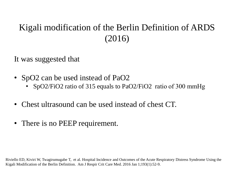#### Kigali modification of the Berlin Definition of ARDS (2016)

It was suggested that

- SpO2 can be used instead of PaO2
	- SpO2/FiO2 ratio of 315 equals to PaO2/FiO2 ratio of 300 mmHg
- Chest ultrasound can be used instead of chest CT.
- There is no PEEP requirement.

Riviello ED, Kiviri W, Twagirumugabe T, et al. Hospital Incidence and Outcomes of the Acute Respiratory Distress Syndrome Using the Kigali Modification of the Berlin Definition. Am J Respir Crit Care Med. 2016 Jan 1;193(1):52-9.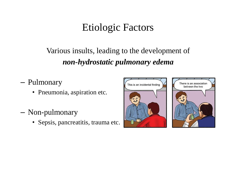# Etiologic Factors

#### Various insults, leading to the development of *non-hydrostatic pulmonary edema*

- Pulmonary
	- Pneumonia, aspiration etc.
- Non-pulmonary
	- Sepsis, pancreatitis, trauma etc.

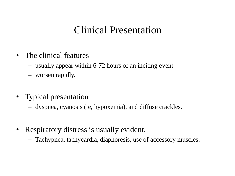### Clinical Presentation

- The clinical features
	- usually appear within 6-72 hours of an inciting event
	- worsen rapidly.
- Typical presentation
	- dyspnea, cyanosis (ie, hypoxemia), and diffuse crackles.
- Respiratory distress is usually evident.
	- Tachypnea, tachycardia, diaphoresis, use of accessory muscles.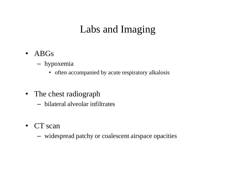# Labs and Imaging

- ABGs
	- hypoxemia
		- often accompanied by acute respiratory alkalosis
- The chest radiograph
	- bilateral alveolar infiltrates
- CT scan
	- widespread patchy or coalescent airspace opacities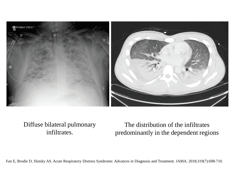

#### Diffuse bilateral pulmonary infiltrates.

The distribution of the infiltrates predominantly in the dependent regions

Fan E, Brodie D, Slutsky AS. Acute Respiratory Distress Syndrome: Advances in Diagnosis and Treatment. JAMA. 2018;319(7):698-710.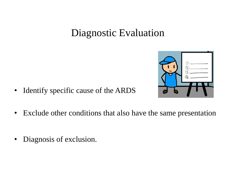# Diagnostic Evaluation



- Identify specific cause of the ARDS
- Exclude other conditions that also have the same presentation
- Diagnosis of exclusion.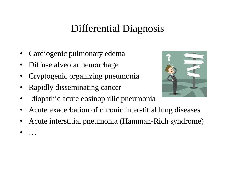# Differential Diagnosis

- Cardiogenic pulmonary edema
- Diffuse alveolar hemorrhage
- Cryptogenic organizing pneumonia
- Rapidly disseminating cancer
- Idiopathic acute eosinophilic pneumonia
- Acute exacerbation of chronic interstitial lung diseases
- Acute interstitial pneumonia (Hamman-Rich syndrome)
- …

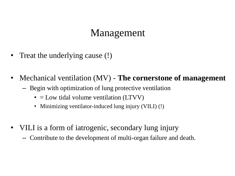### Management

- Treat the underlying cause (!)
- Mechanical ventilation (MV) **The cornerstone of management**
	- Begin with optimization of lung protective ventilation
		- $\bullet$  = Low tidal volume ventilation (LTVV)
		- Minimizing ventilator-induced lung injury (VILI) (!)
- VILI is a form of iatrogenic, secondary lung injury
	- Contribute to the development of multi-organ failure and death.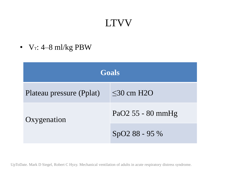# LTVV

•  $V_T$ : 4–8 ml/kg PBW

| <b>Goals</b>             |                   |  |  |  |  |
|--------------------------|-------------------|--|--|--|--|
| Plateau pressure (Pplat) | $\leq$ 30 cm H2O  |  |  |  |  |
| Oxygenation              | PaO2 55 - 80 mmHg |  |  |  |  |
|                          | SpO2 88 - 95 %    |  |  |  |  |

UpToDate. Mark D Siegel, Robert C Hyzy. Mechanical ventilation of adults in acute respiratory distress syndrome.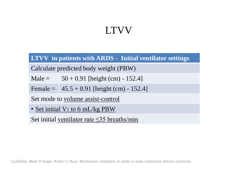# LTVV

#### **LTVV in patients with ARDS - Initial ventilator settings**

Calculate predicted body weight (PBW)

Male =  $50 + 0.91$  [height (cm) - 152.4]

Female =  $|45.5 + 0.91|$  [height (cm) - 152.4]

Set mode to volume assist-control

• Set initial V<sub>T</sub> to 6 mL/kg PBW

Set initial ventilator rate  $\leq$ 35 breaths/min

UpToDate. Mark D Siegel, Robert C Hyzy. Mechanical ventilation of adults in acute respiratory distress syndrome.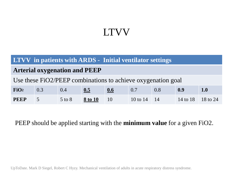### LTVV

#### **LTVV in patients with ARDS - Initial ventilator settings**

#### **Arterial oxygenation and PEEP**

Use these FiO2/PEEP combinations to achieve oxygenation goal

| FiO <sub>2</sub> | 0.3 | 0.4        | 0.5     | 0.6 | 0.7                      | 0.8 | 0.9               |  |
|------------------|-----|------------|---------|-----|--------------------------|-----|-------------------|--|
| <b>PEEP</b>      |     | $5$ to $8$ | 8 to 10 |     | 10 to $14 \overline{14}$ |     | 14 to 18 18 to 24 |  |

PEEP should be applied starting with the **minimum value** for a given FiO2.

UpToDate. Mark D Siegel, Robert C Hyzy. Mechanical ventilation of adults in acute respiratory distress syndrome.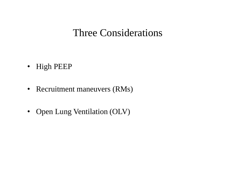### Three Considerations

- High PEEP
- Recruitment maneuvers (RMs)
- Open Lung Ventilation (OLV)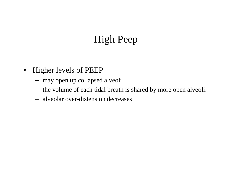# High Peep

- Higher levels of PEEP
	- may open up collapsed alveoli
	- the volume of each tidal breath is shared by more open alveoli.
	- alveolar over-distension decreases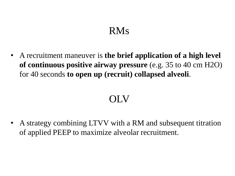# RMs

• A recruitment maneuver is **the brief application of a high level of continuous positive airway pressure** (e.g. 35 to 40 cm H2O) for 40 seconds **to open up (recruit) collapsed alveoli**.

# OLV

• A strategy combining LTVV with a RM and subsequent titration of applied PEEP to maximize alveolar recruitment.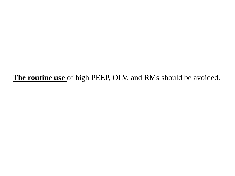**The routine use** of high PEEP, OLV, and RMs should be avoided.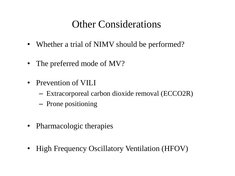# Other Considerations

- Whether a trial of NIMV should be performed?
- The preferred mode of MV?
- Prevention of VILI
	- Extracorporeal carbon dioxide removal (ECCO2R)
	- Prone positioning
- Pharmacologic therapies
- High Frequency Oscillatory Ventilation (HFOV)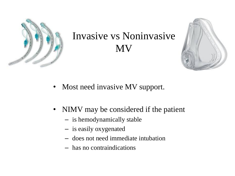

# Invasive vs Noninvasive MV



- Most need invasive MV support.
- NIMV may be considered if the patient
	- is hemodynamically stable
	- is easily oxygenated
	- does not need immediate intubation
	- has no contraindications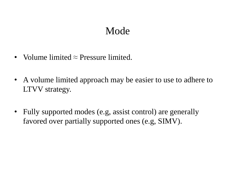### Mode

- Volume limited  $\approx$  Pressure limited.
- A volume limited approach may be easier to use to adhere to LTVV strategy.
- Fully supported modes (e.g, assist control) are generally favored over partially supported ones (e.g, SIMV).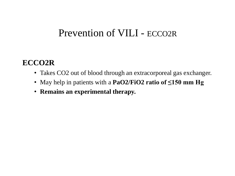### Prevention of VILI - ECCO2R

#### **ECCO2R**

- Takes CO2 out of blood through an extracorporeal gas exchanger.
- May help in patients with a **PaO2/FiO2 ratio of ≤150 mm Hg**
- **Remains an experimental therapy.**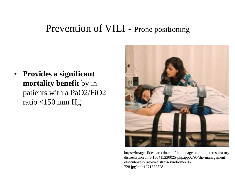#### Prevention of VILI - Prone positioning

• **Provides a significant mortality benefit** by in patients with a PaO2/FiO2 ratio <150 mm Hg



https://image.slidesharecdn.com/themanagementofacuterespiratory distresssyndrome-100415230025-phpapp02/95/the-managementof-acute-respiratory-distress-syndrome-28- 728.jpg?cb=1271372528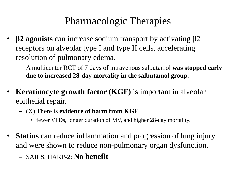# Pharmacologic Therapies

- **β2 agonists** can increase sodium transport by activating β2 receptors on alveolar type I and type II cells, accelerating resolution of pulmonary edema.
	- A multicenter RCT of 7 days of intravenous salbutamol **was stopped early due to increased 28-day mortality in the salbutamol group**.
- **Keratinocyte growth factor (KGF)** is important in alveolar epithelial repair.
	- (X) There is **evidence of harm from KGF**
		- fewer VFDs, longer duration of MV, and higher 28-day mortality.
- **Statins** can reduce inflammation and progression of lung injury and were shown to reduce non-pulmonary organ dysfunction.
	- SAILS, HARP-2: **No benefit**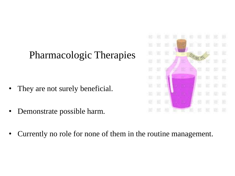# Pharmacologic Therapies

- They are not surely beneficial.
- Demonstrate possible harm.
- Currently no role for none of them in the routine management.

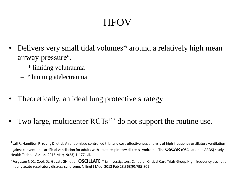# **HFOV**

- Delivers very small tidal volumes\* around a relatively high mean airway pressureº.
	- \* limiting volutrauma
	- º limiting atelectrauma
- Theoretically, an ideal lung protective strategy
- Two large, multicenter  $\text{RCTs}^{1,2}$  do not support the routine use.

<sup>1</sup> Lall R, Hamilton P, Young D, et al. A randomised controlled trial and cost-effectiveness analysis of high-frequency oscillatory ventilation against conventional artificial ventilation for adults with acute respiratory distress syndrome. The**OSCAR** (OSCillation in ARDS) study. Health Technol Assess. 2015 Mar;19(23):1-177, vii.

²Ferguson ND1, Cook DJ, Guyatt GH, et al; **OSCILLATE** Trial Investigators; Canadian Critical Care Trials Group.High-frequency oscillation in early acute respiratory distress syndrome. N Engl J Med. 2013 Feb 28;368(9):795-805.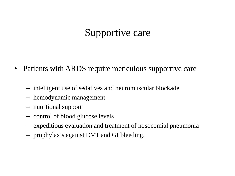# Supportive care

- Patients with ARDS require meticulous supportive care
	- intelligent use of sedatives and neuromuscular blockade
	- hemodynamic management
	- nutritional support
	- control of blood glucose levels
	- expeditious evaluation and treatment of nosocomial pneumonia
	- prophylaxis against DVT and GI bleeding.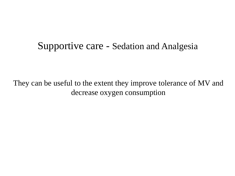#### Supportive care - Sedation and Analgesia

They can be useful to the extent they improve tolerance of MV and decrease oxygen consumption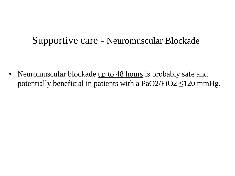#### Supportive care - Neuromuscular Blockade

• Neuromuscular blockade up to 48 hours is probably safe and potentially beneficial in patients with a  $PaO2/FiO2 \le 120$  mmHg.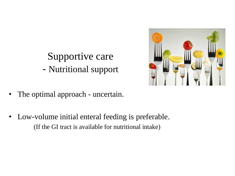# Supportive care - Nutritional support



- The optimal approach uncertain.
- Low-volume initial enteral feeding is preferable. (If the GI tract is available for nutritional intake)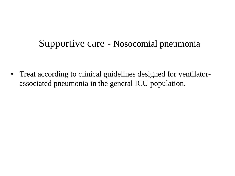### Supportive care - Nosocomial pneumonia

• Treat according to clinical guidelines designed for ventilatorassociated pneumonia in the general ICU population.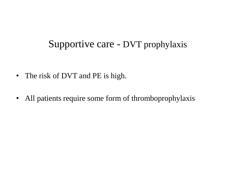### Supportive care - DVT prophylaxis

- The risk of DVT and PE is high.
- All patients require some form of thromboprophylaxis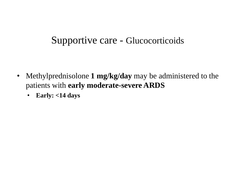#### Supportive care - Glucocorticoids

- Methylprednisolone **1 mg/kg/day** may be administered to the patients with **early moderate-severe ARDS**
	- **Early: <14 days**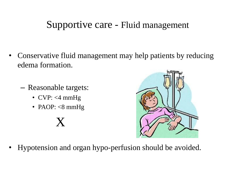### Supportive care - Fluid management

- Conservative fluid management may help patients by reducing edema formation.
	- Reasonable targets:
		- CVP:  $\lt 4$  mmHg
		- PAOP:  $< 8$  mmHg

# X



• Hypotension and organ hypo-perfusion should be avoided.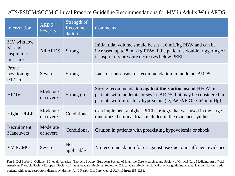#### ATS/ESICM/SCCM Clinical Practice Guideline Recommendations for MV in Adults With ARDS

| Intervention                                                  | <b>ARDS</b><br>Severity | Strength of<br>Recommen<br>dation | <b>Comments</b>                                                                                                                                                                                       |
|---------------------------------------------------------------|-------------------------|-----------------------------------|-------------------------------------------------------------------------------------------------------------------------------------------------------------------------------------------------------|
| MV with low<br>V <sub>T</sub> and<br>inspiratory<br>pressures | <b>All ARDS</b>         | <b>Strong</b>                     | Initial tidal volume should be set at 6 mL/kg PBW and can be<br>increased up to 8 mL/kg PBW if the patient is double triggering or<br>if inspiratory pressure decreases below PEEP                    |
| Prone<br>positioning<br>$>12$ h/d                             | Severe                  | <b>Strong</b>                     | Lack of consensus for recommendation in moderate ARDS                                                                                                                                                 |
| <b>HFOV</b>                                                   | Moderate<br>or severe   | Strong $(-)$                      | Strong recommendation <b>against the routine use of</b> HFOV in<br>patients with moderate or severe ARDS, but may be considered in<br>patients with refractory hypoxemia (ie, $PaO2/FiO2 < 64$ mm Hg) |
| <b>Higher PEEP</b>                                            | Moderate<br>or severe   | Conditional                       | Can implement a higher PEEP strategy that was used in the large<br>randomized clinical trials included in the evidence synthesis                                                                      |
| Recruitment<br><b>Maneuvers</b>                               | Moderate<br>or severe   | Conditional                       | Caution in patients with preexisting hypovolemia or shock                                                                                                                                             |
| <b>VV ECMO</b>                                                | Severe                  | <b>Not</b><br>applicable          | No recommendation for or against use due to insufficient evidence                                                                                                                                     |

Fan E, Del Sorbo L, Goligher EC, et al; American Thoracic Society, European Society of Intensive Care Medicine, and Society of Critical Care Medicine. An official American Thoracic Society/European Society of Intensive Care Medicine/Society of Critical Care Medicine clinical practice guideline: mechanical ventilation in adult patients with acute respiratory distress syndrome. Am J Respir Crit Care Med. **2017**;195(9):1253-1263.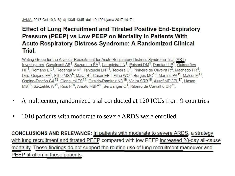#### **Effect of Lung Recruitment and Titrated Positive End-Expiratory** Pressure (PEEP) vs Low PEEP on Mortality in Patients With Acute Respiratory Distress Syndrome: A Randomized Clinical Trial.

Writing Group for the Alveolar Recruitment for Acute Respiratory Distress Syndrome Trial (ART) Investigators, Cavalcanti AB<sup>1</sup>, Suzumura ÉA<sup>1</sup>, Laranjeira LN<sup>1</sup>, Paisani DM<sup>1</sup>, Damiani LP<sup>1</sup>, Guimarães HP<sup>1</sup>, Romano ER<sup>1</sup>, Regenga MM<sup>1</sup>, Taniguchi LNT<sup>1</sup>, Teixeira C<sup>2</sup>, Pinheiro de Oliveira R<sup>3</sup>, Machado FR<sup>4</sup>, Diaz-Quijano FA<sup>5</sup>, Filho MSA<sup>6</sup>, Maia IS<sup>7</sup>, Caser EB<sup>8</sup>, Filho WO<sup>9</sup>, Borges MC<sup>10</sup>, Martins PA<sup>11</sup>, Matsui M<sup>12</sup>, Ospina-Tascón GA<sup>13</sup>, Giancursi TS<sup>14</sup>, Giraldo-Ramirez ND<sup>15</sup>, Vieira SRR<sup>16</sup>, Assef MDGPL<sup>17</sup>, Hasan MS<sup>18</sup>, Szczeklik W<sup>19</sup>, Rios E<sup>20</sup>, Amato MBP<sup>21</sup>, Berwanger O<sup>1</sup>, Ribeiro de Carvalho CR<sup>21</sup>.

- A multicenter, randomized trial conducted at 120 ICUs from 9 countries
- 1010 patients with moderate to severe ARDS were enrolled.

**CONCLUSIONS AND RELEVANCE:** In patients with moderate to severe ARDS, a strategy with lung recruitment and titrated PEEP compared with low PEEP increased 28-day all-cause mortality. These findings do not support the routine use of lung recruitment maneuver and PEEP titration in these patients.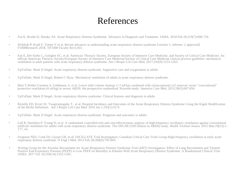#### References

- Fan E, Brodie D, Slutsky AS. Acute Respiratory Distress Syndrome: Advances in Diagnosis and Treatment. JAMA. 2018 Feb 20;319(7):698-710.
- Wohlrab P, Kraft F, Tretter V et al. Recent advances in understanding acute respiratory distress syndrome [version 1; referees: 2 approved] F1000Research 2018, 7(F1000 Faculty Rev):263.
- Fan E, Del Sorbo L, Goligher EC, et al; American Thoracic Society, European Society of Intensive Care Medicine, and Society of Critical Care Medicine. An official American Thoracic Society/European Society of Intensive Care Medicine/Society of Critical Care Medicine clinical practice guideline: mechanical ventilation in adult patients with acute respiratory distress syndrome. Am J Respir Crit Care Med. 2017;195(9):1253-1263.
- UpToDate. Mark D Siegel. Acute respiratory distress syndrome: Supportive care and oxygenation in adults
- UpToDate. Mark D Siegel, Robert C Hyzy. Mechanical ventilation of adults in acute respiratory distress syndrome.
- Bein T, Weber-Carstens S, Goldmann A, et al. Lower tidal volume strategy (≈3 ml/kg) combined with extracorporeal co2 removal versus "conventional" protective ventilation (6 ml/kg) in severe ARDS: the prospective randomized Xtravent-study. Intensive Care Med. 2013;39(5):847-856.
- UpToDate. Mark D Siegel. Acute respiratory distress syndrome: Clinical features and diagnosis in adults
- Riviello ED, Kiviri W, Twagirumugabe T, et al. Hospital Incidence and Outcomes of the Acute Respiratory Distress Syndrome Using the Kigali Modification of the Berlin Definition. Am J Respir Crit Care Med. 2016 Jan 1;193(1):52-9.
- UpToDate. Mark D Siegel. Acute respiratory distress syndrome: Prognosis and outcomes in adults.
- Lall R, Hamilton P, Young D, et al. A randomised controlled trial and cost-effectiveness analysis of high-frequency oscillatory ventilation against conventional artificial ventilation for adults with acute respiratory distress syndrome. The OSCAR (OSCillation in ARDS) study. Health Technol Assess. 2015 Mar;19(23):1- 177, vii.
- Ferguson ND1, Cook DJ, Guyatt GH, et al; OSCILLATE Trial Investigators; Canadian Critical Care Trials Group.High-frequency oscillation in early acute respiratory distress syndrome. N Engl J Med. 2013 Feb 28;368(9):795-805.
- Writing Group for the Alveolar Recruitment for Acute Respiratory Distress Syndrome Trial (ART) Investigators. Effect of Lung Recruitment and Titrated Positive End-Expiratory Pressure (PEEP) vs Low PEEP on Mortality in Patients With Acute Respiratory Distress Syndrome: A Randomized Clinical Trial. JAMA. 2017 Oct 10;318(14):1335-1345.